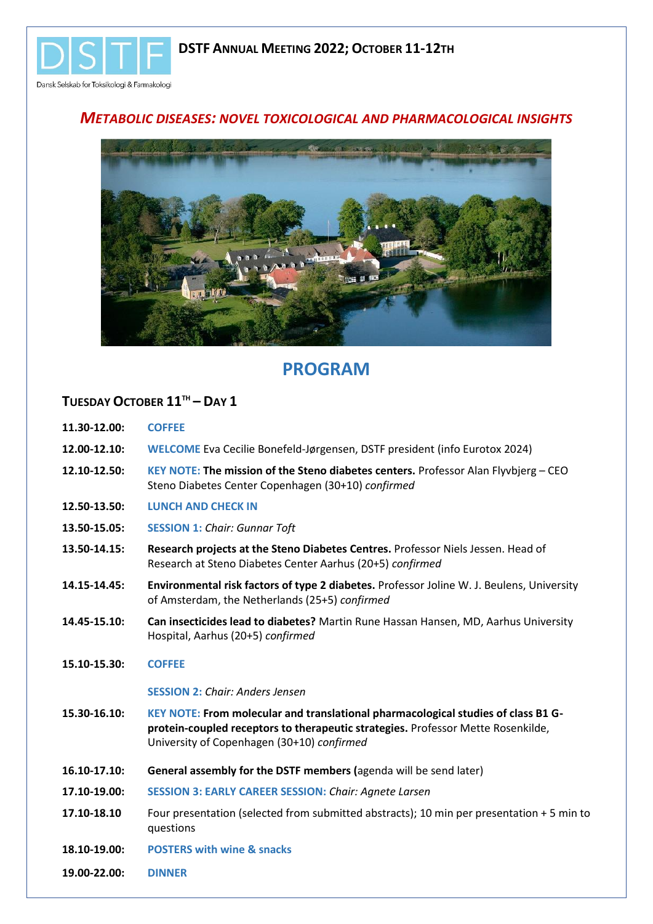

## *METABOLIC DISEASES: NOVEL TOXICOLOGICAL AND PHARMACOLOGICAL INSIGHTS*



# **PROGRAM**

## **TUESDAY OCTOBER 11TH – DAY 1**

- **11.30-12.00: COFFEE**
- **12.00-12.10: WELCOME** Eva Cecilie Bonefeld-Jørgensen, DSTF president (info Eurotox 2024)
- **12.10-12.50: KEY NOTE: The mission of the Steno diabetes centers.** Professor Alan Flyvbjerg CEO Steno Diabetes Center Copenhagen (30+10) *confirmed*
- **12.50-13.50: LUNCH AND CHECK IN**
- **13.50-15.05: SESSION 1:** *Chair: Gunnar Toft*
- **13.50-14.15: Research projects at the Steno Diabetes Centres.** Professor Niels Jessen. Head of Research at Steno Diabetes Center Aarhus (20+5) *confirmed*
- **14.15-14.45: Environmental risk factors of type 2 diabetes.** Professor Joline W. J. Beulens, University of Amsterdam, the Netherlands (25+5) *confirmed*
- **14.45-15.10: Can insecticides lead to diabetes?** Martin Rune Hassan Hansen, MD, Aarhus University Hospital, Aarhus (20+5) *confirmed*
- **15.10-15.30: COFFEE**

#### **SESSION 2:** *Chair: Anders Jensen*

- **15.30-16.10: KEY NOTE: From molecular and translational pharmacological studies of class B1 Gprotein-coupled receptors to therapeutic strategies.** Professor Mette Rosenkilde, University of Copenhagen (30+10) *confirmed*
- **16.10-17.10: General assembly for the DSTF members (**agenda will be send later)
- **17.10-19.00: SESSION 3: EARLY CAREER SESSION:** *Chair: Agnete Larsen*
- **17.10-18.10** Four presentation (selected from submitted abstracts); 10 min per presentation + 5 min to questions
- **18.10-19.00: POSTERS with wine & snacks**
- **19.00-22.00: DINNER**